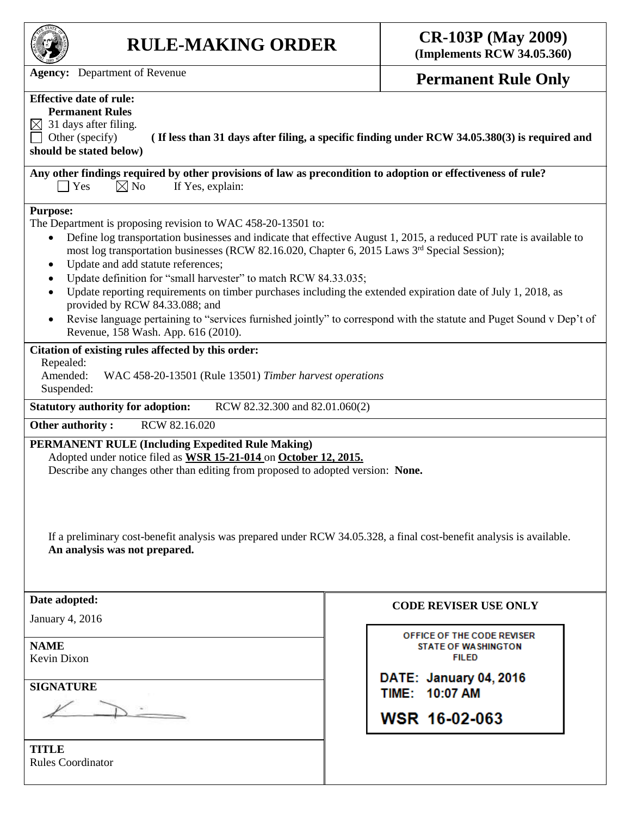

# **RULE-MAKING ORDER CR-103P (May 2009)**

**(Implements RCW 34.05.360)**

Agency: Department of Revenue **Permanent Rule Only** 

## **Effective date of rule:**

**Permanent Rules**  $\boxtimes$  31 days after filing.

Other (specify) **( If less than 31 days after filing, a specific finding under RCW 34.05.380(3) is required and should be stated below)**

**Any other findings required by other provisions of law as precondition to adoption or effectiveness of rule?**  $\bigcap$  Yes  $\bigotimes$  No If Yes, explain:

#### **Purpose:**

The Department is proposing revision to WAC 458-20-13501 to:

- Define log transportation businesses and indicate that effective August 1, 2015, a reduced PUT rate is available to most log transportation businesses (RCW 82.16.020, Chapter 6, 2015 Laws  $3<sup>rd</sup>$  Special Session);
- Update and add statute references;
- Update definition for "small harvester" to match RCW 84.33.035;
- Update reporting requirements on timber purchases including the extended expiration date of July 1, 2018, as provided by RCW 84.33.088; and
- Revise language pertaining to "services furnished jointly" to correspond with the statute and Puget Sound v Dep't of Revenue, 158 Wash. App. 616 (2010).

#### **Citation of existing rules affected by this order:**

Repealed:

Amended: WAC 458-20-13501 (Rule 13501) *Timber harvest operations* Suspended:

**Statutory authority for adoption:** RCW 82.32.300 and 82.01.060(2)

**Other authority : RCW 82.16.020** 

**PERMANENT RULE (Including Expedited Rule Making)**

Adopted under notice filed as **WSR 15-21-014** on **October 12, 2015.**

Describe any changes other than editing from proposed to adopted version: **None.**

If a preliminary cost-benefit analysis was prepared under RCW 34.05.328, a final cost-benefit analysis is available. **An analysis was not prepared.**

| Date adopted:                            | <b>CODI</b>     |
|------------------------------------------|-----------------|
| January 4, 2016                          |                 |
| <b>NAME</b><br>Kevin Dixon               | <b>OFF</b><br>s |
| <b>SIGNATURE</b>                         | DATE:<br>TIME:  |
|                                          | <b>WSR</b>      |
| <b>TITLE</b><br><b>Rules Coordinator</b> |                 |

### **E REVISER USE ONLY**

**ICE OF THE CODE REVISER STATE OF WASHINGTON FILED** 

**January 04, 2016** 10:07 AM

16-02-063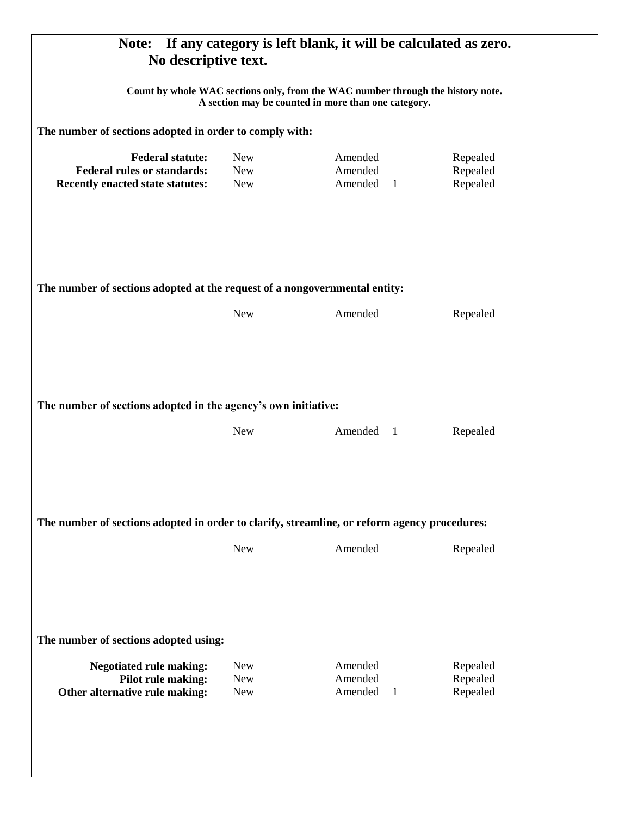| If any category is left blank, it will be calculated as zero.<br>Note:<br>No descriptive text.<br>Count by whole WAC sections only, from the WAC number through the history note.<br>A section may be counted in more than one category.<br>The number of sections adopted in order to comply with: |                                        |                                      |                                  |  |                                                                                                                 |                                        |                                                 |                                  |
|-----------------------------------------------------------------------------------------------------------------------------------------------------------------------------------------------------------------------------------------------------------------------------------------------------|----------------------------------------|--------------------------------------|----------------------------------|--|-----------------------------------------------------------------------------------------------------------------|----------------------------------------|-------------------------------------------------|----------------------------------|
|                                                                                                                                                                                                                                                                                                     |                                        |                                      |                                  |  | <b>Federal statute:</b><br><b>Federal rules or standards:</b><br><b>Recently enacted state statutes:</b>        | <b>New</b><br><b>New</b><br><b>New</b> | Amended<br>Amended<br>Amended<br>$\overline{1}$ | Repealed<br>Repealed<br>Repealed |
|                                                                                                                                                                                                                                                                                                     |                                        |                                      |                                  |  | The number of sections adopted at the request of a nongovernmental entity:<br><b>New</b><br>Amended<br>Repealed |                                        |                                                 |                                  |
|                                                                                                                                                                                                                                                                                                     |                                        |                                      |                                  |  |                                                                                                                 |                                        |                                                 |                                  |
| The number of sections adopted in the agency's own initiative:                                                                                                                                                                                                                                      |                                        |                                      |                                  |  |                                                                                                                 |                                        |                                                 |                                  |
|                                                                                                                                                                                                                                                                                                     | <b>New</b>                             | Amended 1                            | Repealed                         |  |                                                                                                                 |                                        |                                                 |                                  |
| The number of sections adopted in order to clarify, streamline, or reform agency procedures:                                                                                                                                                                                                        |                                        |                                      |                                  |  |                                                                                                                 |                                        |                                                 |                                  |
|                                                                                                                                                                                                                                                                                                     | <b>New</b>                             | Amended                              | Repealed                         |  |                                                                                                                 |                                        |                                                 |                                  |
| The number of sections adopted using:                                                                                                                                                                                                                                                               |                                        |                                      |                                  |  |                                                                                                                 |                                        |                                                 |                                  |
| <b>Negotiated rule making:</b><br>Pilot rule making:<br>Other alternative rule making:                                                                                                                                                                                                              | <b>New</b><br><b>New</b><br><b>New</b> | Amended<br>Amended<br>Amended<br>- 1 | Repealed<br>Repealed<br>Repealed |  |                                                                                                                 |                                        |                                                 |                                  |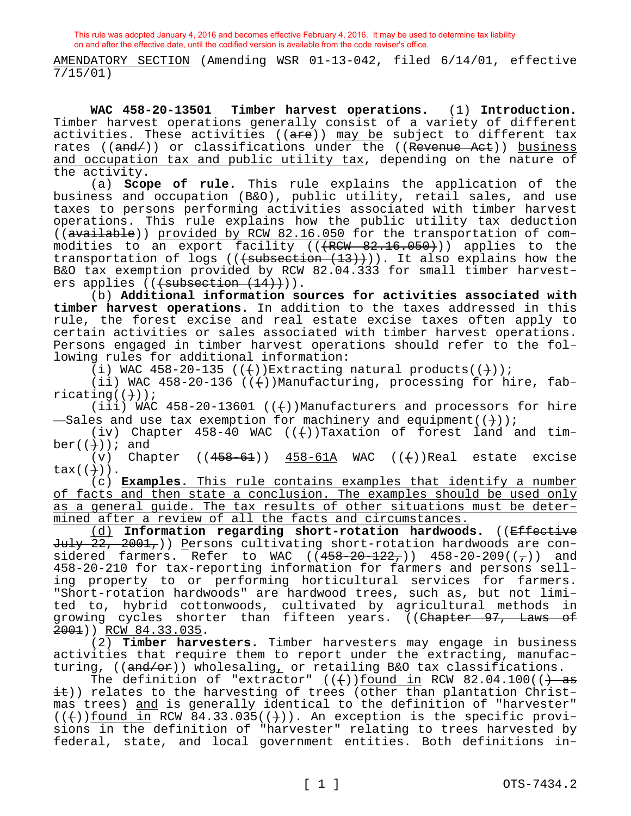AMENDATORY SECTION (Amending WSR 01-13-042, filed 6/14/01, effective 7/15/01)

**WAC 458-20-13501 Timber harvest operations.** (1) **Introduction.**  Timber harvest operations generally consist of a variety of different activities. These activities (( $are$ )) may be subject to different tax rates (( $\overline{and}$ )) or classifications under the (( $\overline{Reverse}$  Act)) business and occupation tax and public utility tax, depending on the nature of the activity.

(a) **Scope of rule.** This rule explains the application of the business and occupation (B&O), public utility, retail sales, and use taxes to persons performing activities associated with timber harvest operations. This rule explains how the public utility tax deduction ((available)) provided by RCW 82.16.050 for the transportation of commodities to an export facility  $((R\overline{CW} 82.16.050))$  applies to the transportation of logs (( $\overline{\text{subsection} + 13}})$ ). It also explains how the B&O tax exemption provided by RCW 82.04.333 for small timber harvesters applies (((subsection (14)))).

(b) **Additional information sources for activities associated with timber harvest operations.** In addition to the taxes addressed in this rule, the forest excise and real estate excise taxes often apply to certain activities or sales associated with timber harvest operations. Persons engaged in timber harvest operations should refer to the following rules for additional information:

(i) WAC 458-20-135 (( $+)$ )Extracting natural products(( $+)$ );

(ii) WAC 458-20-136 ( $(+)$ )Manufacturing, processing for hire, fab $ricating((+)$ );

(iii) WAC  $458-20-13601$  (( $+)$ )Manufacturers and processors for hire -Sales and use tax exemption for machinery and equipment( $(\dagger)$ );

(iv) Chapter  $458-40$  WAC (( $+)$ )Taxation of forest land and tim $ber((+)$ ); and

(v) Chapter  $((458-61))$   $458-61A$  WAC  $((+)$ )Real estate excise  $tax((+)$ ).

(c) **Examples.** This rule contains examples that identify a number of facts and then state a conclusion. The examples should be used only as a general guide. The tax results of other situations must be determined after a review of all the facts and circumstances.

(d) **Information regarding short-rotation hardwoods.** ((Effective July 22, 2001,)) Persons cultivating short-rotation hardwoods are considered farmers. Refer to WAC  $((458-20-122_7))$  458-20-209 $((7))$  and 458-20-210 for tax-reporting information for farmers and persons selling property to or performing horticultural services for farmers. "Short-rotation hardwoods" are hardwood trees, such as, but not limited to, hybrid cottonwoods, cultivated by agricultural methods in growing cycles shorter than fifteen years. ((Chapter 97, Laws of 2001)) RCW 84.33.035.

(2) **Timber harvesters.** Timber harvesters may engage in business activities that require them to report under the extracting, manufacturing, ((and/or)) wholesaling, or retailing B&O tax classifications.

The definition of "extractor"  $((+)$  ) found in RCW 82.04.100( $($ ) as it)) relates to the harvesting of trees (other than plantation Christmas trees) and is generally identical to the definition of "harvester"  $((+))$  found in RCW 84.33.035( $(+)$ ). An exception is the specific provisions in the definition of "harvester" relating to trees harvested by federal, state, and local government entities. Both definitions in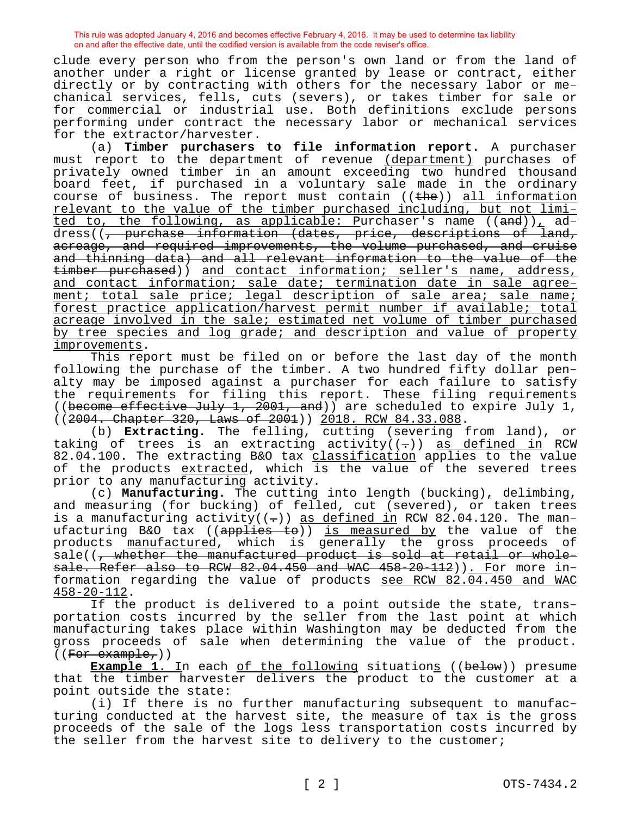clude every person who from the person's own land or from the land of another under a right or license granted by lease or contract, either directly or by contracting with others for the necessary labor or mechanical services, fells, cuts (severs), or takes timber for sale or for commercial or industrial use. Both definitions exclude persons performing under contract the necessary labor or mechanical services for the extractor/harvester.

(a) **Timber purchasers to file information report.** A purchaser must report to the department of revenue (department) purchases of privately owned timber in an amount exceeding two hundred thousand board feet, if purchased in a voluntary sale made in the ordinary course of business. The report must contain  $((the)$  all information relevant to the value of the timber purchased including, but not limited to, the following, as applicable: Purchaser's name ((and)), address((, purchase information (dates, price, descriptions of land, acreage, and required improvements, the volume purchased, and cruise and thinning data) and all relevant information to the value of the timber purchased)) and contact information; seller's name, address, and contact information; sale date; termination date in sale agreement; total sale price; legal description of sale area; sale name; forest practice application/harvest permit number if available; total acreage involved in the sale; estimated net volume of timber purchased by tree species and log grade; and description and value of property improvements.

This report must be filed on or before the last day of the month following the purchase of the timber. A two hundred fifty dollar penalty may be imposed against a purchaser for each failure to satisfy the requirements for filing this report. These filing requirements ((become effective July 1, 2001, and)) are scheduled to expire July 1, ((2004. Chapter 320, Laws of 2001)) 2018. RCW 84.33.088.

(b) **Extracting.** The felling, cutting (severing from land), or taking of trees is an extracting activity( $(-)$ ) as defined in RCW 82.04.100. The extracting B&O tax classification applies to the value of the products extracted, which is the value of the severed trees prior to any manufacturing activity.

(c) **Manufacturing.** The cutting into length (bucking), delimbing, and measuring (for bucking) of felled, cut (severed), or taken trees is a manufacturing activity( $(-)$ ) as defined in RCW 82.04.120. The manufacturing B&O tax ((applies to)) is measured by the value of the products manufactured, which is generally the gross proceeds of sale((, whether the manufactured product is sold at retail or wholesale. Refer also to RCW 82.04.450 and WAC 458-20-112)). For more information regarding the value of products see RCW 82.04.450 and WAC 458-20-112.

If the product is delivered to a point outside the state, transportation costs incurred by the seller from the last point at which manufacturing takes place within Washington may be deducted from the gross proceeds of sale when determining the value of the product.  $((For example,))$ 

**Example 1.** In each of the following situations ((below)) presume that the timber harvester delivers the product to the customer at a point outside the state:

(i) If there is no further manufacturing subsequent to manufacturing conducted at the harvest site, the measure of tax is the gross proceeds of the sale of the logs less transportation costs incurred by the seller from the harvest site to delivery to the customer;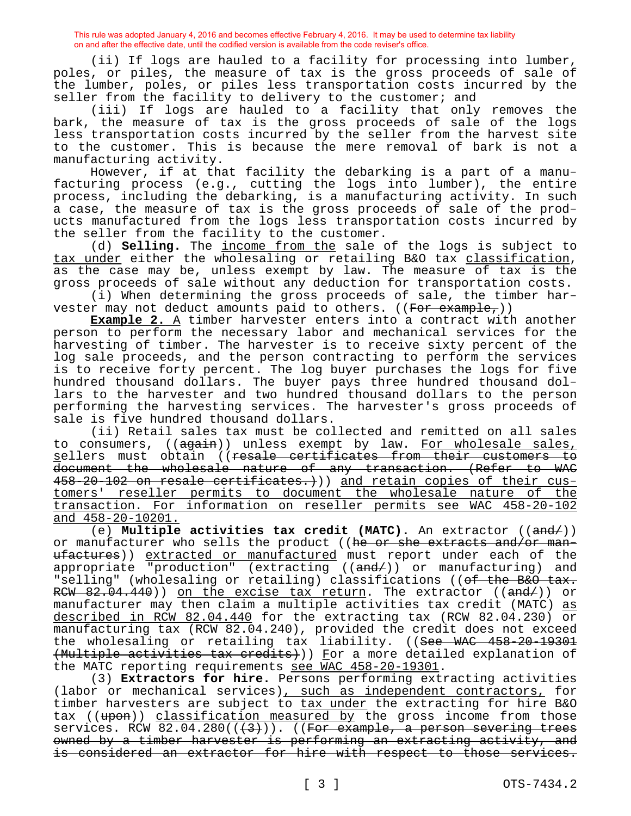(ii) If logs are hauled to a facility for processing into lumber, poles, or piles, the measure of tax is the gross proceeds of sale of the lumber, poles, or piles less transportation costs incurred by the seller from the facility to delivery to the customer; and

(iii) If logs are hauled to a facility that only removes the bark, the measure of tax is the gross proceeds of sale of the logs less transportation costs incurred by the seller from the harvest site to the customer. This is because the mere removal of bark is not a manufacturing activity.

However, if at that facility the debarking is a part of a manufacturing process (e.g., cutting the logs into lumber), the entire process, including the debarking, is a manufacturing activity. In such a case, the measure of tax is the gross proceeds of sale of the products manufactured from the logs less transportation costs incurred by the seller from the facility to the customer.

(d) **Selling.** The income from the sale of the logs is subject to tax under either the wholesaling or retailing B&O tax classification, as the case may be, unless exempt by law. The measure of tax is the gross proceeds of sale without any deduction for transportation costs.

(i) When determining the gross proceeds of sale, the timber harvester may not deduct amounts paid to others. ( $(Fo \rightarrow e \rightarrow o)$ )

**Example 2.** A timber harvester enters into a contract with another person to perform the necessary labor and mechanical services for the harvesting of timber. The harvester is to receive sixty percent of the log sale proceeds, and the person contracting to perform the services is to receive forty percent. The log buyer purchases the logs for five hundred thousand dollars. The buyer pays three hundred thousand dollars to the harvester and two hundred thousand dollars to the person performing the harvesting services. The harvester's gross proceeds of sale is five hundred thousand dollars.

(ii) Retail sales tax must be collected and remitted on all sales to consumers, ((again)) unless exempt by law. For wholesale sales, sellers must obtain ((resale certificates from their customers to document the wholesale nature of any transaction. (Refer to WAC 458-20-102 on resale certificates.))) and retain copies of their customers' reseller permits to document the wholesale nature of the transaction. For information on reseller permits see WAC 458-20-102 and 458-20-10201.

(e) **Multiple activities tax credit (MATC).** An extractor ((and/)) or manufacturer who sells the product ((he or she extracts and/or manufactures)) extracted or manufactured must report under each of the appropriate "production" (extracting ((and/)) or manufacturing) and "selling" (wholesaling or retailing) classifications ((of the B&O tax. RCW 82.04.440)) on the excise tax return. The extractor ((and/)) or manufacturer may then claim a multiple activities tax credit (MATC) as described in RCW 82.04.440 for the extracting tax (RCW 82.04.230) or manufacturing tax (RCW 82.04.240), provided the credit does not exceed the wholesaling or retailing tax liability. ((See WAC 458-20-19301 (Multiple activities tax credits))) For a more detailed explanation of the MATC reporting requirements see WAC 458-20-19301.

(3) **Extractors for hire.** Persons performing extracting activities (labor or mechanical services), such as independent contractors, for timber harvesters are subject to tax under the extracting for hire B&O tax ((upon)) classification measured by the gross income from those services. RCW  $82.04.280((+3))$ . ((For example, a person severing trees owned by a timber harvester is performing an extracting activity, and is considered an extractor for hire with respect to those services.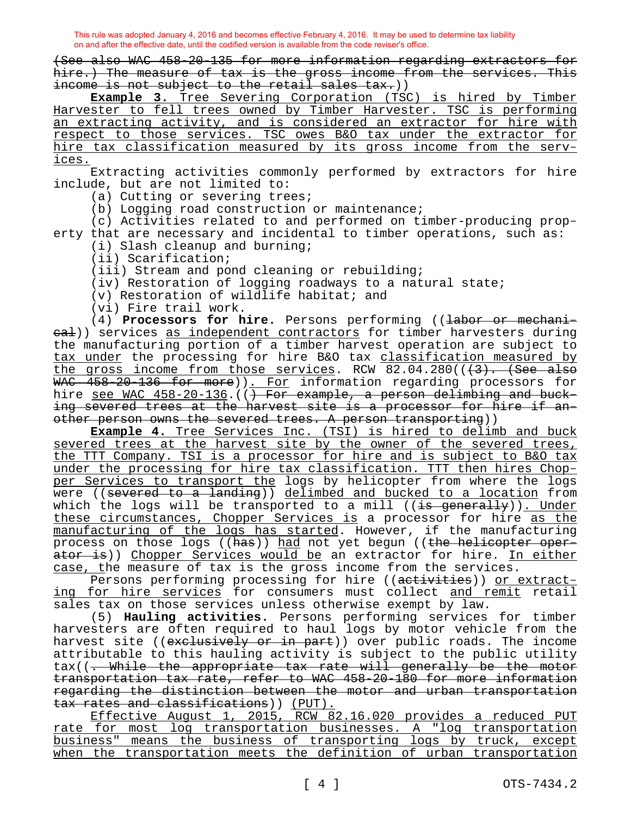(See also WAC 458-20-135 for more information regarding extractors for hire.) The measure of tax is the gross income from the services. This income is not subject to the retail sales tax.))

**Example 3.** Tree Severing Corporation (TSC) is hired by Timber Harvester to fell trees owned by Timber Harvester. TSC is performing an extracting activity, and is considered an extractor for hire with respect to those services. TSC owes B&O tax under the extractor for hire tax classification measured by its gross income from the services.

Extracting activities commonly performed by extractors for hire include, but are not limited to:

(a) Cutting or severing trees;

(b) Logging road construction or maintenance;

(c) Activities related to and performed on timber-producing property that are necessary and incidental to timber operations, such as:

(i) Slash cleanup and burning;

(ii) Scarification;

(iii) Stream and pond cleaning or rebuilding;

(iv) Restoration of logging roadways to a natural state;

(v) Restoration of wildlife habitat; and

(vi) Fire trail work.

(4) **Processors for hire.** Persons performing ((labor or mechanieal)) services as independent contractors for timber harvesters during the manufacturing portion of a timber harvest operation are subject to tax under the processing for hire B&O tax classification measured by the gross income from those services. RCW 82.04.280((<del>(3). (See also</del> WAC 458-20-136 for more)). For information regarding processors for hire see WAC 458-20-136. (() For example, a person delimbing and bucking severed trees at the harvest site is a processor for hire if another person owns the severed trees. A person transporting))

**Example 4.** Tree Services Inc. (TSI) is hired to delimb and buck severed trees at the harvest site by the owner of the severed trees, the TTT Company. TSI is a processor for hire and is subject to B&O tax under the processing for hire tax classification. TTT then hires Chopper Services to transport the logs by helicopter from where the logs were ((severed to a landing)) delimbed and bucked to a location from which the logs will be transported to a mill  $((\frac{1}{15} \frac{1}{15})$ . Under these circumstances, Chopper Services is a processor for hire as the manufacturing of the logs has started. However, if the manufacturing process on those logs ((has)) had not yet begun ((the helicopter operator is)) Chopper Services would be an extractor for hire. In either case, the measure of tax is the gross income from the services.

Persons performing processing for hire ((activities)) or extracting for hire services for consumers must collect and remit retail sales tax on those services unless otherwise exempt by law.

(5) **Hauling activities.** Persons performing services for timber harvesters are often required to haul logs by motor vehicle from the harvest site ((exclusively or in part)) over public roads. The income attributable to this hauling activity is subject to the public utility tax((. While the appropriate tax rate will generally be the motor transportation tax rate, refer to WAC 458-20-180 for more information regarding the distinction between the motor and urban transportation tax rates and classifications)) (PUT).

Effective August 1, 2015, RCW 82.16.020 provides a reduced PUT rate for most log transportation businesses. A "log transportation business" means the business of transporting logs by truck, except when the transportation meets the definition of urban transportation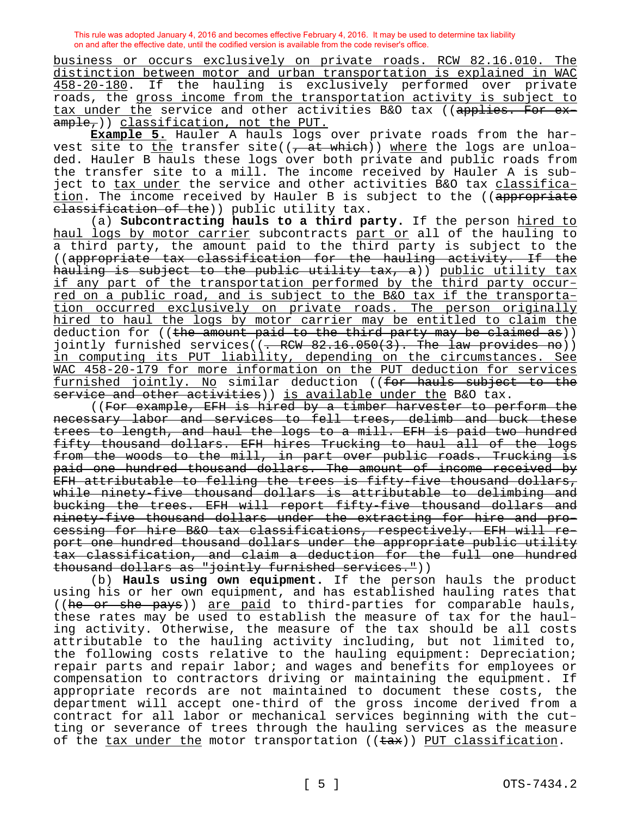business or occurs exclusively on private roads. RCW 82.16.010. The distinction between motor and urban transportation is explained in WAC 458-20-180. If the hauling is exclusively performed over private roads, the gross income from the transportation activity is subject to tax under the service and other activities B&O tax ((applies. For ex $ample,$ )) classification, not the PUT.

**Example 5.** Hauler A hauls logs over private roads from the harvest site to the transfer site( $(-at$  which)) where the logs are unloaded. Hauler B hauls these logs over both private and public roads from the transfer site to a mill. The income received by Hauler A is subject to tax under the service and other activities B&O tax classification. The income received by Hauler B is subject to the ((appropriate elassification of the)) public utility tax.

(a) **Subcontracting hauls to a third party.** If the person hired to haul logs by motor carrier subcontracts part or all of the hauling to a third party, the amount paid to the third party is subject to the ((appropriate tax classification for the hauling activity. If the hauling is subject to the public utility tax, a)) public utility tax if any part of the transportation performed by the third party occurred on a public road, and is subject to the B&O tax if the transportation occurred exclusively on private roads. The person originally hired to haul the logs by motor carrier may be entitled to claim the deduction for ((the amount paid to the third party may be claimed as)) jointly furnished services((<del>. RCW 82.16.050(3). The law provides no</del>)) in computing its PUT liability, depending on the circumstances. See WAC 458-20-179 for more information on the PUT deduction for services furnished jointly. No similar deduction ((for hauls subject to the service and other activities)) is available under the B&O tax.

((For example, EFH is hired by a timber harvester to perform the necessary labor and services to fell trees, delimb and buck these trees to length, and haul the logs to a mill. EFH is paid two hundred fifty thousand dollars. EFH hires Trucking to haul all of the logs from the woods to the mill, in part over public roads. Trucking is paid one hundred thousand dollars. The amount of income received by EFH attributable to felling the trees is fifty-five thousand dollars, while ninety-five thousand dollars is attributable to delimbing and bucking the trees. EFH will report fifty-five thousand dollars and ninety-five thousand dollars under the extracting for hire and processing for hire B&O tax classifications, respectively. EFH will report one hundred thousand dollars under the appropriate public utility tax classification, and claim a deduction for the full one hundred thousand dollars as "jointly furnished services."))

(b) **Hauls using own equipment.** If the person hauls the product using his or her own equipment, and has established hauling rates that ((he or she pays)) are paid to third-parties for comparable hauls, these rates may be used to establish the measure of tax for the hauling activity. Otherwise, the measure of the tax should be all costs attributable to the hauling activity including, but not limited to, the following costs relative to the hauling equipment: Depreciation; repair parts and repair labor; and wages and benefits for employees or compensation to contractors driving or maintaining the equipment. If appropriate records are not maintained to document these costs, the department will accept one-third of the gross income derived from a contract for all labor or mechanical services beginning with the cutting or severance of trees through the hauling services as the measure of the tax under the motor transportation (( $\text{tax}$ )) PUT classification.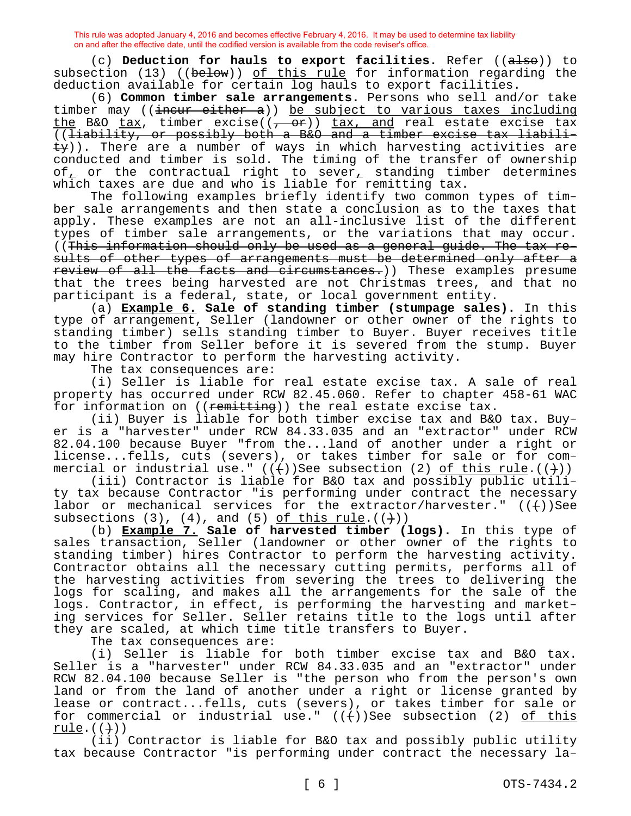(c) **Deduction for hauls to export facilities.** Refer ((also)) to subsection  $(13)$  (( $\overline{below}$ )) of this rule for information regarding the deduction available for certain log hauls to export facilities.

(6) **Common timber sale arrangements.** Persons who sell and/or take timber may (( $\frac{1}{1}$  incur either a)) be subject to various taxes including the B&O tax, timber excise( $(-$  or)) tax, and real estate excise tax ((liability, or possibly both a B&O and a timber excise tax liabili- $\pm y$ )). There are a number of ways in which harvesting activities are conducted and timber is sold. The timing of the transfer of ownership of, or the contractual right to sever, standing timber determines which taxes are due and who is liable for remitting tax.

The following examples briefly identify two common types of timber sale arrangements and then state a conclusion as to the taxes that apply. These examples are not an all-inclusive list of the different types of timber sale arrangements, or the variations that may occur. ((This information should only be used as a general guide. The tax results of other types of arrangements must be determined only after a review of all the facts and circumstances.)) These examples presume that the trees being harvested are not Christmas trees, and that no participant is a federal, state, or local government entity.

(a) **Example 6. Sale of standing timber (stumpage sales).** In this type of arrangement, Seller (landowner or other owner of the rights to standing timber) sells standing timber to Buyer. Buyer receives title to the timber from Seller before it is severed from the stump. Buyer may hire Contractor to perform the harvesting activity.

The tax consequences are:

(i) Seller is liable for real estate excise tax. A sale of real property has occurred under RCW 82.45.060. Refer to chapter 458-61 WAC for information on  $((\text{remitting}))$  the real estate excise tax.

(ii) Buyer is liable for both timber excise tax and B&O tax. Buyer is a "harvester" under RCW 84.33.035 and an "extractor" under RCW 82.04.100 because Buyer "from the...land of another under a right or license...fells, cuts (severs), or takes timber for sale or for commercial or industrial use."  $((+)$ )See subsection (2) of this rule. $((+)$ )

(iii) Contractor is liable for B&O tax and possibly public utility tax because Contractor "is performing under contract the necessary labor or mechanical services for the extractor/harvester."  $((+))$ See subsections  $(3)$ ,  $(4)$ , and  $(5)$  of this rule. $((+)$ )

(b) **Example 7. Sale of harvested timber (logs).** In this type of sales transaction, Seller (landowner or other owner of the rights to standing timber) hires Contractor to perform the harvesting activity. Contractor obtains all the necessary cutting permits, performs all of the harvesting activities from severing the trees to delivering the logs for scaling, and makes all the arrangements for the sale of the logs. Contractor, in effect, is performing the harvesting and marketing services for Seller. Seller retains title to the logs until after they are scaled, at which time title transfers to Buyer.

The tax consequences are:

(i) Seller is liable for both timber excise tax and B&O tax. Seller is a "harvester" under RCW 84.33.035 and an "extractor" under RCW 82.04.100 because Seller is "the person who from the person's own land or from the land of another under a right or license granted by lease or contract...fells, cuts (severs), or takes timber for sale or for commercial or industrial use."  $((+)$ )See subsection (2) of this rule. $((+)$ )

(ii) Contractor is liable for B&O tax and possibly public utility tax because Contractor "is performing under contract the necessary la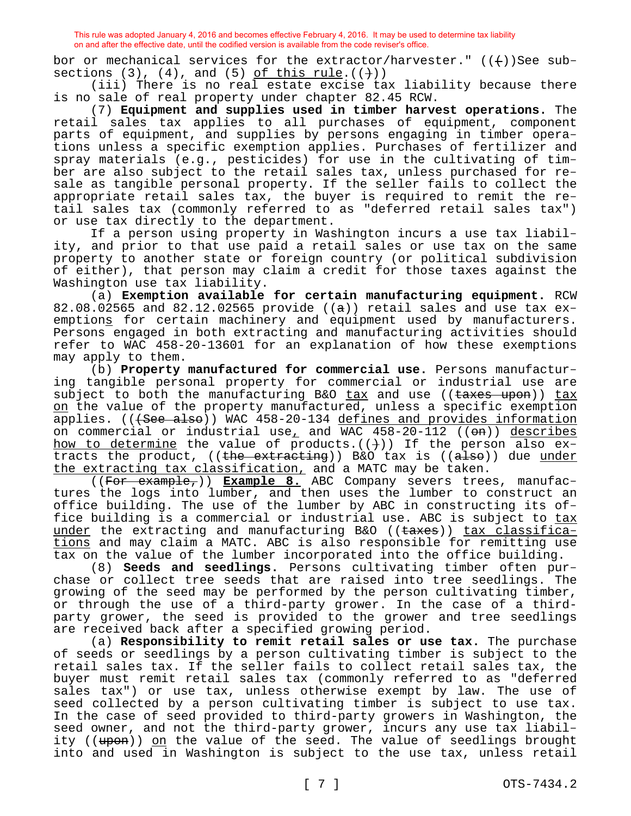bor or mechanical services for the extractor/harvester."  $((+)$ )See subsections  $(3)$ ,  $(4)$ , and  $(5)$  of this rule. $((+)$ )

(iii) There is no real estate excise tax liability because there is no sale of real property under chapter 82.45 RCW.

(7) **Equipment and supplies used in timber harvest operations.** The retail sales tax applies to all purchases of equipment, component parts of equipment, and supplies by persons engaging in timber operations unless a specific exemption applies. Purchases of fertilizer and spray materials (e.g., pesticides) for use in the cultivating of timber are also subject to the retail sales tax, unless purchased for resale as tangible personal property. If the seller fails to collect the appropriate retail sales tax, the buyer is required to remit the retail sales tax (commonly referred to as "deferred retail sales tax") or use tax directly to the department.

If a person using property in Washington incurs a use tax liability, and prior to that use paid a retail sales or use tax on the same property to another state or foreign country (or political subdivision of either), that person may claim a credit for those taxes against the Washington use tax liability.

(a) **Exemption available for certain manufacturing equipment.** RCW 82.08.02565 and 82.12.02565 provide  $((a))$  retail sales and use tax exemptions for certain machinery and equipment used by manufacturers. Persons engaged in both extracting and manufacturing activities should refer to WAC 458-20-13601 for an explanation of how these exemptions may apply to them.

(b) **Property manufactured for commercial use.** Persons manufacturing tangible personal property for commercial or industrial use are subject to both the manufacturing B&O  $\frac{c}{dx}$  and use (( $\frac{c}{dx}$ ))  $\frac{c}{dx}$ on the value of the property manufactured, unless a specific exemption applies. (((See also)) WAC 458-20-134 defines and provides information on commercial or industrial use<sub> $\mu$ </sub> and WAC  $458-20-112$  (( $\Theta$ m)) describes how to determine the value of products.  $((+)')$  If the person also extracts the product,  $((the *extraction*))$  B&O tax is  $((a \text{1so}))$  due under the extracting tax classification, and a MATC may be taken.

((For example,)) **Example 8.** ABC Company severs trees, manufactures the logs into lumber, and then uses the lumber to construct an office building. The use of the lumber by ABC in constructing its office building is a commercial or industrial use. ABC is subject to tax under the extracting and manufacturing B&O ((taxes)) tax classifications and may claim a MATC. ABC is also responsible for remitting use tax on the value of the lumber incorporated into the office building.

(8) **Seeds and seedlings.** Persons cultivating timber often purchase or collect tree seeds that are raised into tree seedlings. The growing of the seed may be performed by the person cultivating timber, or through the use of a third-party grower. In the case of a thirdparty grower, the seed is provided to the grower and tree seedlings are received back after a specified growing period.

(a) **Responsibility to remit retail sales or use tax.** The purchase of seeds or seedlings by a person cultivating timber is subject to the retail sales tax. If the seller fails to collect retail sales tax, the buyer must remit retail sales tax (commonly referred to as "deferred sales tax") or use tax, unless otherwise exempt by law. The use of seed collected by a person cultivating timber is subject to use tax. In the case of seed provided to third-party growers in Washington, the seed owner, and not the third-party grower, incurs any use tax liability ((upon)) on the value of the seed. The value of seedlings brought into and used in Washington is subject to the use tax, unless retail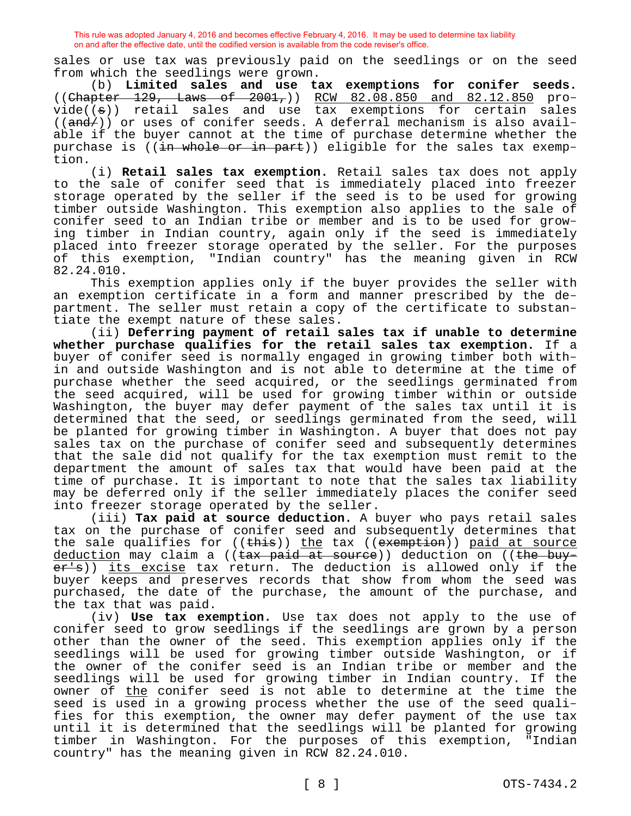sales or use tax was previously paid on the seedlings or on the seed from which the seedlings were grown.

(b) **Limited sales and use tax exemptions for conifer seeds.**   $($  (Chapter 129, Laws of 2001,)) RCW 82.08.850 and 82.12.850 pro $vide((a))$  retail sales and use tax exemptions for certain sales  $((and/))$  or uses of conifer seeds. A deferral mechanism is also available if the buyer cannot at the time of purchase determine whether the purchase is ((in whole or in part)) eligible for the sales tax exemption.

(i) **Retail sales tax exemption.** Retail sales tax does not apply to the sale of conifer seed that is immediately placed into freezer storage operated by the seller if the seed is to be used for growing timber outside Washington. This exemption also applies to the sale of conifer seed to an Indian tribe or member and is to be used for growing timber in Indian country, again only if the seed is immediately placed into freezer storage operated by the seller. For the purposes of this exemption, "Indian country" has the meaning given in RCW 82.24.010.

This exemption applies only if the buyer provides the seller with an exemption certificate in a form and manner prescribed by the department. The seller must retain a copy of the certificate to substantiate the exempt nature of these sales.

(ii) **Deferring payment of retail sales tax if unable to determine whether purchase qualifies for the retail sales tax exemption.** If a buyer of conifer seed is normally engaged in growing timber both within and outside Washington and is not able to determine at the time of purchase whether the seed acquired, or the seedlings germinated from the seed acquired, will be used for growing timber within or outside Washington, the buyer may defer payment of the sales tax until it is determined that the seed, or seedlings germinated from the seed, will be planted for growing timber in Washington. A buyer that does not pay sales tax on the purchase of conifer seed and subsequently determines that the sale did not qualify for the tax exemption must remit to the department the amount of sales tax that would have been paid at the time of purchase. It is important to note that the sales tax liability may be deferred only if the seller immediately places the conifer seed into freezer storage operated by the seller.

(iii) **Tax paid at source deduction.** A buyer who pays retail sales tax on the purchase of conifer seed and subsequently determines that the sale qualifies for ((this)) the tax ((exemption)) paid at source deduction may claim a ((tax paid at source)) deduction on ((the buyer's)) its excise tax return. The deduction is allowed only if the buyer keeps and preserves records that show from whom the seed was purchased, the date of the purchase, the amount of the purchase, and the tax that was paid.

(iv) **Use tax exemption.** Use tax does not apply to the use of conifer seed to grow seedlings if the seedlings are grown by a person other than the owner of the seed. This exemption applies only if the seedlings will be used for growing timber outside Washington, or if the owner of the conifer seed is an Indian tribe or member and the seedlings will be used for growing timber in Indian country. If the owner of <u>the</u> conifer seed is not able to determine at the time the seed is used in a growing process whether the use of the seed qualifies for this exemption, the owner may defer payment of the use tax until it is determined that the seedlings will be planted for growing timber in Washington. For the purposes of this exemption, "Indian country" has the meaning given in RCW 82.24.010.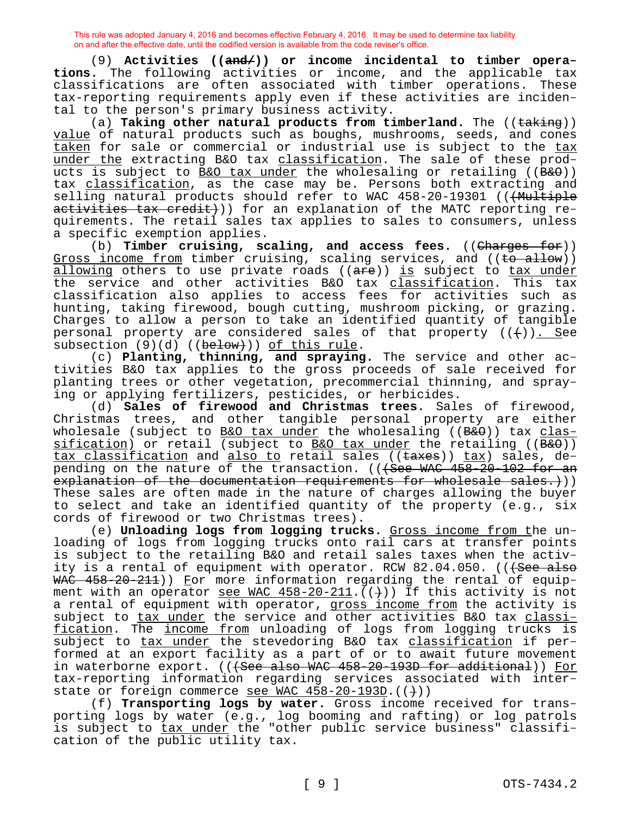(9) **Activities ((and/)) or income incidental to timber operations.** The following activities or income, and the applicable tax classifications are often associated with timber operations. These tax-reporting requirements apply even if these activities are incidental to the person's primary business activity.

(a) **Taking other natural products from timberland.** The ((taking)) value of natural products such as boughs, mushrooms, seeds, and cones taken for sale or commercial or industrial use is subject to the tax under the extracting B&O tax classification. The sale of these products is subject to B&O tax under the wholesaling or retailing ((B&O)) tax classification, as the case may be. Persons both extracting and selling natural products should refer to WAC 458-20-19301 ((<del>(Multiple</del> activities tax credit)) for an explanation of the MATC reporting requirements. The retail sales tax applies to sales to consumers, unless a specific exemption applies.

(b) **Timber cruising, scaling, and access fees.** ((Charges for)) Gross income from timber cruising, scaling services, and ((to allow)) allowing others to use private roads ((are)) is subject to tax under the service and other activities B&O tax *classification*. This tax classification also applies to access fees for activities such as hunting, taking firewood, bough cutting, mushroom picking, or grazing. Charges to allow a person to take an identified quantity of tangible personal property are considered sales of that property  $((+))$ . See subsection  $(9)(d)$  (( $b$ elow))) of this rule.

(c) **Planting, thinning, and spraying.** The service and other activities B&O tax applies to the gross proceeds of sale received for planting trees or other vegetation, precommercial thinning, and spraying or applying fertilizers, pesticides, or herbicides.

(d) **Sales of firewood and Christmas trees.** Sales of firewood, Christmas trees, and other tangible personal property are either wholesale (subject to B&O tax under the wholesaling ( $(B & \theta)$ ) tax classification) or retail (subject to B&O tax under the retailing ( $(B \& O)$ ) tax classification and also to retail sales ((taxes)) tax) sales, depending on the nature of the transaction. (((See WAC 458-20-102 for an explanation of the documentation requirements for wholesale sales.))) These sales are often made in the nature of charges allowing the buyer to select and take an identified quantity of the property (e.g., six cords of firewood or two Christmas trees).

(e) **Unloading logs from logging trucks.** Gross income from the unloading of logs from logging trucks onto rail cars at transfer points is subject to the retailing B&O and retail sales taxes when the activity is a rental of equipment with operator. RCW  $82.04.050$ . (( $\text{f~~See also}~~$ ) WAC 458-20-211)) For more information regarding the rental of equipment with an operator see WAC  $458-20-211$ .  $(+)$ ) If this activity is not a rental of equipment with operator, gross income from the activity is subject to tax under the service and other activities B&O tax classification. The income from unloading of logs from logging trucks is subject to tax under the stevedoring B&O tax classification if performed at an export facility as a part of or to await future movement in waterborne export. (((See also WAC 458-20-193D for additional)) For tax-reporting information regarding services associated with interstate or foreign commerce see WAC 458-20-193D. ((+))

(f) **Transporting logs by water.** Gross income received for transporting logs by water (e.g., log booming and rafting) or log patrols is subject to tax under the "other public service business" classification of the public utility tax.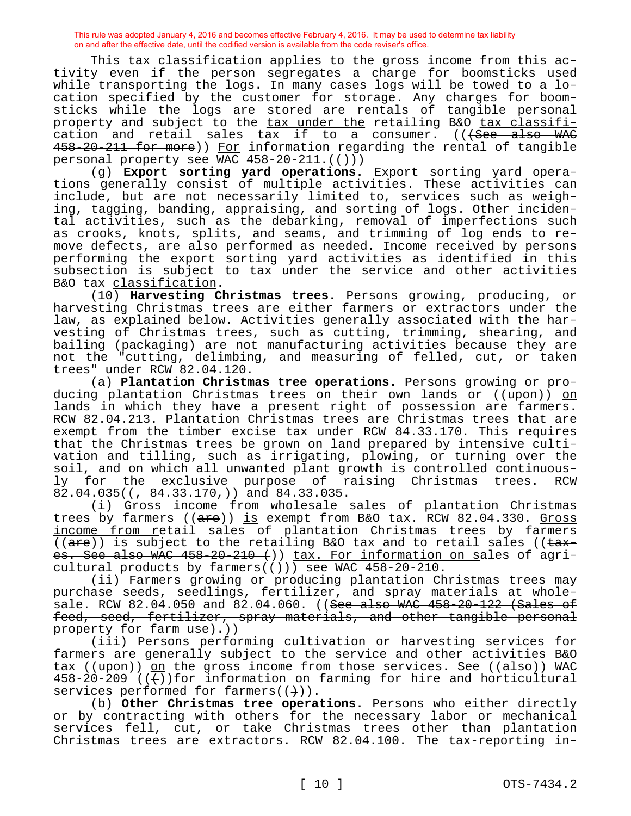This tax classification applies to the gross income from this activity even if the person segregates a charge for boomsticks used while transporting the logs. In many cases logs will be towed to a location specified by the customer for storage. Any charges for boomsticks while the logs are stored are rentals of tangible personal property and subject to the tax under the retailing B&O tax classifi- $cation$  and retail sales  $\tan$  if to a consumer. (( $\tan$   $\tan$   $\tan$ </u> 458-20-211 for more)) For information regarding the rental of tangible personal property see WAC  $458-20-211$ .  $($   $(+)$  )

(g) **Export sorting yard operations.** Export sorting yard operations generally consist of multiple activities. These activities can include, but are not necessarily limited to, services such as weighing, tagging, banding, appraising, and sorting of logs. Other incidental activities, such as the debarking, removal of imperfections such as crooks, knots, splits, and seams, and trimming of log ends to remove defects, are also performed as needed. Income received by persons performing the export sorting yard activities as identified in this subsection is subject to tax under the service and other activities B&O tax classification.

(10) **Harvesting Christmas trees.** Persons growing, producing, or harvesting Christmas trees are either farmers or extractors under the law, as explained below. Activities generally associated with the harvesting of Christmas trees, such as cutting, trimming, shearing, and bailing (packaging) are not manufacturing activities because they are not the "cutting, delimbing, and measuring of felled, cut, or taken trees" under RCW 82.04.120.

(a) **Plantation Christmas tree operations.** Persons growing or producing plantation Christmas trees on their own lands or ((upon)) on lands in which they have a present right of possession are farmers. RCW 82.04.213. Plantation Christmas trees are Christmas trees that are exempt from the timber excise tax under RCW 84.33.170. This requires that the Christmas trees be grown on land prepared by intensive cultivation and tilling, such as irrigating, plowing, or turning over the soil, and on which all unwanted plant growth is controlled continuous-<br>ly for the exclusive purpose of raising Christmas trees. RCW ly for the exclusive purpose of raising Christmas trees. RCW 82.04.035( $\left(\frac{84.33.170}{9}\right)$ ) and 84.33.035.

(i) Gross income from wholesale sales of plantation Christmas trees by farmers  $((a + e))$  is exempt from B&O tax. RCW 82.04.330. Gross income from retail sales of plantation Christmas trees by farmers (( $are$ )) is subject to the retailing B&O tax and to retail sales (( $\tan x$ es. See also WAC 458-20-210 ()) tax. For information on sales of agricultural products by farmers( $(+)$ ) see WAC 458-20-210.

(ii) Farmers growing or producing plantation Christmas trees may purchase seeds, seedlings, fertilizer, and spray materials at wholesale. RCW 82.04.050 and 82.04.060. ((See also WAC 458-20-122 (Sales of feed, seed, fertilizer, spray materials, and other tangible personal property for farm use).))

(iii) Persons performing cultivation or harvesting services for farmers are generally subject to the service and other activities B&O tax ( $(\text{upon})$ ) on the gross income from those services. See ( $(\text{also})$ ) WAC  $458-20-209$  (( $+)$ )for information on farming for hire and horticultural services performed for farmers( $(+)$ ).

(b) **Other Christmas tree operations.** Persons who either directly or by contracting with others for the necessary labor or mechanical services fell, cut, or take Christmas trees other than plantation Christmas trees are extractors. RCW 82.04.100. The tax-reporting in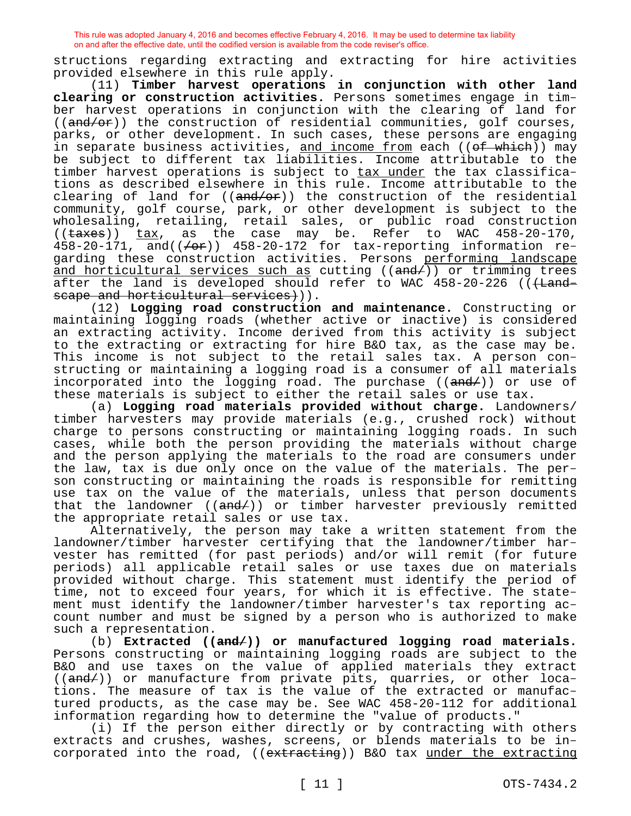structions regarding extracting and extracting for hire activities provided elsewhere in this rule apply.

(11) **Timber harvest operations in conjunction with other land clearing or construction activities.** Persons sometimes engage in timber harvest operations in conjunction with the clearing of land for  $((and/or))$  the construction of residential communities, golf courses, parks, or other development. In such cases, these persons are engaging in separate business activities, <u>and income from</u> each ((<del>of which</del>)) may be subject to different tax liabilities. Income attributable to the timber harvest operations is subject to tax under the tax classifications as described elsewhere in this rule. Income attributable to the clearing of land for  $((and/or))$  the construction of the residential community, golf course, park, or other development is subject to the wholesaling, retailing, retail sales, or public road construction  $((\text{taxes}))$   $\text{tax}_1$ , as the case may be. Refer to WAC 458-20-170, 458-20-171, and( $(\neq -1)$ ) 458-20-172 for tax-reporting information regarding these construction activities. Persons performing landscape and horticultural services such as cutting  $((and/))$  or trimming trees after the land is developed should refer to WAC 458-20-226 ((+Landscape and horticultural services))).

(12) **Logging road construction and maintenance.** Constructing or maintaining logging roads (whether active or inactive) is considered an extracting activity. Income derived from this activity is subject to the extracting or extracting for hire B&O tax, as the case may be. This income is not subject to the retail sales tax. A person constructing or maintaining a logging road is a consumer of all materials incorporated into the logging road. The purchase  $((and/))$  or use of these materials is subject to either the retail sales or use tax.

(a) **Logging road materials provided without charge.** Landowners/ timber harvesters may provide materials (e.g., crushed rock) without charge to persons constructing or maintaining logging roads. In such cases, while both the person providing the materials without charge and the person applying the materials to the road are consumers under the law, tax is due only once on the value of the materials. The person constructing or maintaining the roads is responsible for remitting use tax on the value of the materials, unless that person documents that the landowner ((<del>and/</del>)) or timber harvester previously remitted the appropriate retail sales or use tax.

Alternatively, the person may take a written statement from the landowner/timber harvester certifying that the landowner/timber harvester has remitted (for past periods) and/or will remit (for future periods) all applicable retail sales or use taxes due on materials provided without charge. This statement must identify the period of time, not to exceed four years, for which it is effective. The statement must identify the landowner/timber harvester's tax reporting account number and must be signed by a person who is authorized to make such a representation.

(b) **Extracted ((and/)) or manufactured logging road materials.**  Persons constructing or maintaining logging roads are subject to the B&O and use taxes on the value of applied materials they extract ((and/)) or manufacture from private pits, quarries, or other locations. The measure of tax is the value of the extracted or manufactured products, as the case may be. See WAC 458-20-112 for additional information regarding how to determine the "value of products."

(i) If the person either directly or by contracting with others extracts and crushes, washes, screens, or blends materials to be incorporated into the road, ((extracting)) B&O tax under the extracting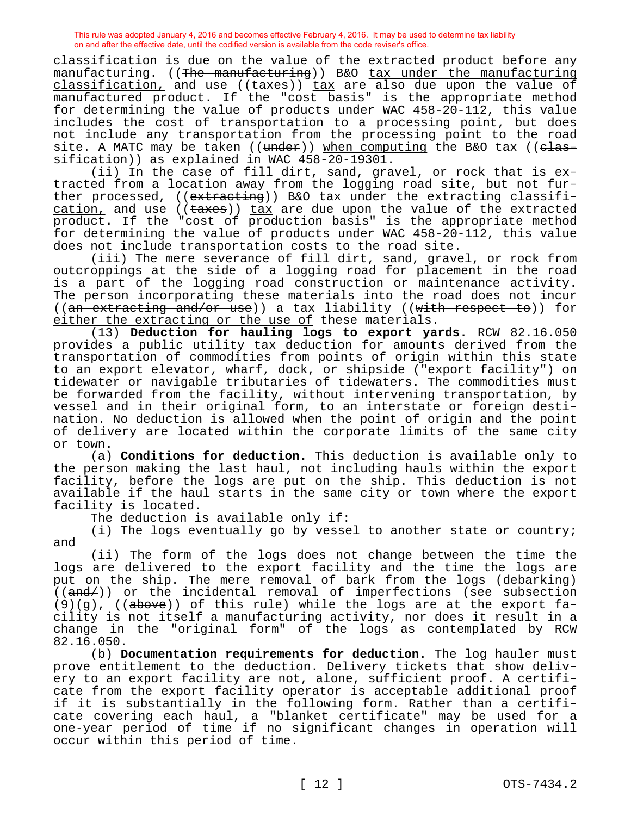classification is due on the value of the extracted product before any manufacturing. ((<del>The manufacturing</del>)) B&O tax under the manufacturing classification, and use  $((\text{taxes}))$  tax are also due upon the value of manufactured product. If the "cost basis" is the appropriate method for determining the value of products under WAC 458-20-112, this value includes the cost of transportation to a processing point, but does not include any transportation from the processing point to the road site. A MATC may be taken ((under)) when computing the B&O tax ((classification)) as explained in WAC 458-20-19301.

(ii) In the case of fill dirt, sand, gravel, or rock that is extracted from a location away from the logging road site, but not further processed, ((extracting)) B&O tax under the extracting classification, and use  $((\text{taxes}))$  tax are due upon the value of the extracted product. If the "cost of production basis" is the appropriate method for determining the value of products under WAC  $458-20-112$ , this value does not include transportation costs to the road site.

(iii) The mere severance of fill dirt, sand, gravel, or rock from outcroppings at the side of a logging road for placement in the road is a part of the logging road construction or maintenance activity. The person incorporating these materials into the road does not incur ((an extracting and/or use)) a tax liability ((with respect to)) for either the extracting or the use of these materials.

(13) **Deduction for hauling logs to export yards.** RCW 82.16.050 provides a public utility tax deduction for amounts derived from the transportation of commodities from points of origin within this state to an export elevator, wharf, dock, or shipside ("export facility") on tidewater or navigable tributaries of tidewaters. The commodities must be forwarded from the facility, without intervening transportation, by vessel and in their original form, to an interstate or foreign destination. No deduction is allowed when the point of origin and the point of delivery are located within the corporate limits of the same city or town.

(a) **Conditions for deduction.** This deduction is available only to the person making the last haul, not including hauls within the export facility, before the logs are put on the ship. This deduction is not available if the haul starts in the same city or town where the export facility is located.

The deduction is available only if:

(i) The logs eventually go by vessel to another state or country; and

(ii) The form of the logs does not change between the time the logs are delivered to the export facility and the time the logs are put on the ship. The mere removal of bark from the logs (debarking)  $((and/))$  or the incidental removal of imperfections (see subsection  $(9)(g)$ , ((above)) of this rule) while the logs are at the export facility is not itself a manufacturing activity, nor does it result in a change in the "original form" of the logs as contemplated by RCW 82.16.050.

(b) **Documentation requirements for deduction.** The log hauler must prove entitlement to the deduction. Delivery tickets that show delivery to an export facility are not, alone, sufficient proof. A certificate from the export facility operator is acceptable additional proof if it is substantially in the following form. Rather than a certificate covering each haul, a "blanket certificate" may be used for a one-year period of time if no significant changes in operation will occur within this period of time.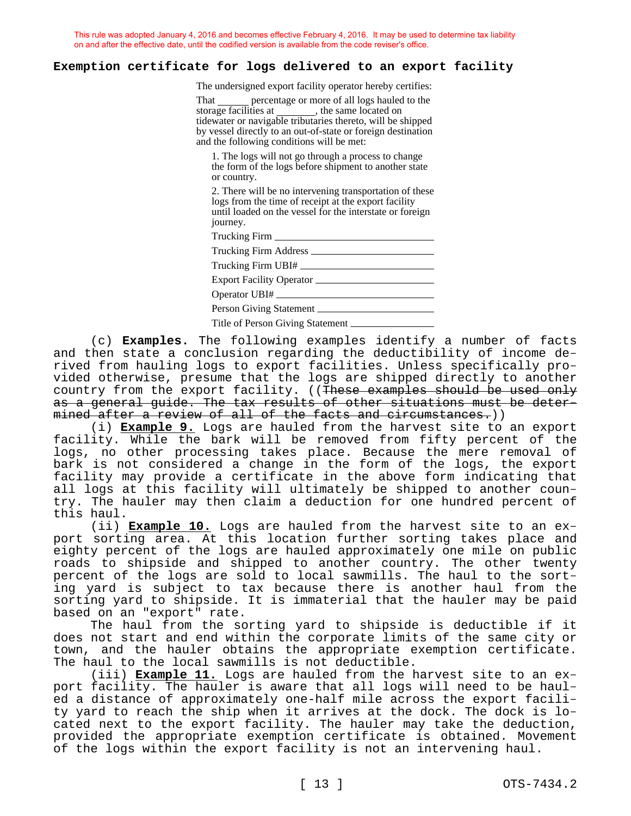#### **Exemption certificate for logs delivered to an export facility**

The undersigned export facility operator hereby certifies:

percentage or more of all logs hauled to the storage facilities at \_\_\_\_\_\_\_, the same located on tidewater or navigable tributaries thereto, will be shipped by vessel directly to an out-of-state or foreign destination and the following conditions will be met:

1. The logs will not go through a process to change the form of the logs before shipment to another state or country.

2. There will be no intervening transportation of these logs from the time of receipt at the export facility until loaded on the vessel for the interstate or foreign journey.

Trucking Firm

Trucking Firm Address

Person Giving Statement

Title of Person Giving Statement

(c) **Examples.** The following examples identify a number of facts and then state a conclusion regarding the deductibility of income derived from hauling logs to export facilities. Unless specifically provided otherwise, presume that the logs are shipped directly to another country from the export facility. ((These examples should be used only as a general guide. The tax results of other situations must be determined after a review of all of the facts and circumstances.))

(i) **Example 9.** Logs are hauled from the harvest site to an export facility. While the bark will be removed from fifty percent of the logs, no other processing takes place. Because the mere removal of bark is not considered a change in the form of the logs, the export facility may provide a certificate in the above form indicating that all logs at this facility will ultimately be shipped to another country. The hauler may then claim a deduction for one hundred percent of this haul.

(ii) **Example 10.** Logs are hauled from the harvest site to an export sorting area. At this location further sorting takes place and eighty percent of the logs are hauled approximately one mile on public roads to shipside and shipped to another country. The other twenty percent of the logs are sold to local sawmills. The haul to the sorting yard is subject to tax because there is another haul from the sorting yard to shipside. It is immaterial that the hauler may be paid based on an "export" rate.

The haul from the sorting yard to shipside is deductible if it does not start and end within the corporate limits of the same city or town, and the hauler obtains the appropriate exemption certificate. The haul to the local sawmills is not deductible.

(iii) **Example 11.** Logs are hauled from the harvest site to an export facility. The hauler is aware that all logs will need to be hauled a distance of approximately one-half mile across the export facility yard to reach the ship when it arrives at the dock. The dock is located next to the export facility. The hauler may take the deduction, provided the appropriate exemption certificate is obtained. Movement of the logs within the export facility is not an intervening haul.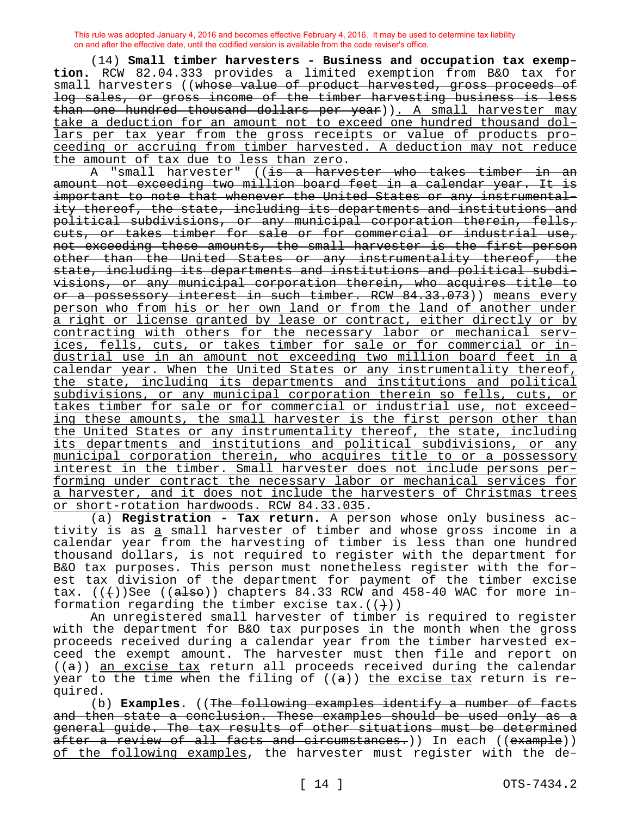(14) **Small timber harvesters - Business and occupation tax exemption.** RCW 82.04.333 provides a limited exemption from B&O tax for small harvesters ((whose value of product harvested, gross proceeds of log sales, or gross income of the timber harvesting business is less than one hundred thousand dollars per year)). A small harvester may take a deduction for an amount not to exceed one hundred thousand dollars per tax year from the gross receipts or value of products proceeding or accruing from timber harvested. A deduction may not reduce the amount of tax due to less than zero.

A "small harvester" ((is a harvester who takes timber in an amount not exceeding two million board feet in a calendar year. It is important to note that whenever the United States or any instrumentality thereof, the state, including its departments and institutions and political subdivisions, or any municipal corporation therein, fells, -<br>cuts, or takes timber for sale or for commercial or industrial use, not exceeding these amounts, the small harvester is the first person other than the United States or any instrumentality thereof, the state, including its departments and institutions and political subdivisions, or any municipal corporation therein, who acquires title to or a possessory interest in such timber. RCW 84.33.073)) means every person who from his or her own land or from the land of another under a right or license granted by lease or contract, either directly or by contracting with others for the necessary labor or mechanical services, fells, cuts, or takes timber for sale or for commercial or industrial use in an amount not exceeding two million board feet in a calendar year. When the United States or any instrumentality thereof, the state, including its departments and institutions and political subdivisions, or any municipal corporation therein so fells, cuts, or takes timber for sale or for commercial or industrial use, not exceeding these amounts, the small harvester is the first person other than the United States or any instrumentality thereof, the state, including its departments and institutions and political subdivisions, or any municipal corporation therein, who acquires title to or a possessory interest in the timber. Small harvester does not include persons performing under contract the necessary labor or mechanical services for a harvester, and it does not include the harvesters of Christmas trees or short-rotation hardwoods. RCW 84.33.035.

(a) **Registration - Tax return.** A person whose only business activity is as a small harvester of timber and whose gross income in a calendar year from the harvesting of timber is less than one hundred thousand dollars, is not required to register with the department for B&O tax purposes. This person must nonetheless register with the forest tax division of the department for payment of the timber excise tax.  $((+))$ See  $((a \text{1so}))$  chapters 84.33 RCW and 458-40 WAC for more information regarding the timber excise tax.  $((+)$ )

An unregistered small harvester of timber is required to register with the department for B&O tax purposes in the month when the gross proceeds received during a calendar year from the timber harvested exceed the exempt amount. The harvester must then file and report on  $((a))$  an excise tax return all proceeds received during the calendar year to the time when the filing of  $((a))$  the excise tax return is required.

(b) **Examples.** ((The following examples identify a number of facts and then state a conclusion. These examples should be used only as a general guide. The tax results of other situations must be determined after a review of all facts and circumstances.)) In each ((example)) of the following examples, the harvester must register with the de